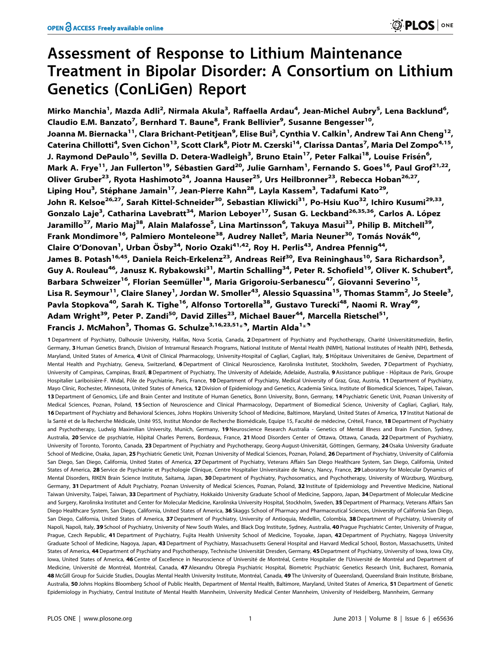# Assessment of Response to Lithium Maintenance Treatment in Bipolar Disorder: A Consortium on Lithium Genetics (ConLiGen) Report

Mirko Manchia<sup>1</sup>, Mazda Adli<sup>2</sup>, Nirmala Akula<sup>3</sup>, Raffaella Ardau<sup>4</sup>, Jean-Michel Aubry<sup>5</sup>, Lena Backlund<sup>6</sup>, Claudio E.M. Banzato<sup>7</sup>, Bernhard T. Baune<sup>8</sup>, Frank Bellivier<sup>9</sup>, Susanne Bengesser<sup>10</sup>, Joanna M. Biernacka<sup>11</sup>, Clara Brichant-Petitjean<sup>9</sup>, Elise Bui<sup>3</sup>, Cynthia V. Calkin<sup>1</sup>, Andrew Tai Ann Cheng<sup>12</sup>, Caterina Chillotti<sup>4</sup>, Sven Cichon<sup>13</sup>, Scott Clark<sup>8</sup>, Piotr M. Czerski<sup>14</sup>, Clarissa Dantas<sup>7</sup>, Maria Del Zompo<sup>4,15</sup>, J. Raymond DePaulo<sup>16</sup>, Sevilla D. Detera-Wadleigh<sup>3</sup>, Bruno Etain<sup>17</sup>, Peter Falkai<sup>18</sup>, Louise Frisén<sup>6</sup>, Mark A. Frye<sup>11</sup>, Jan Fullerton<sup>19</sup>, Sébastien Gard<sup>20</sup>, Julie Garnham<sup>1</sup>, Fernando S. Goes<sup>16</sup>, Paul Grof<sup>21,22</sup>, Oliver Gruber<sup>23</sup>, Ryota Hashimoto<sup>24</sup>, Joanna Hauser<sup>25</sup>, Urs Heilbronner<sup>23</sup>, Rebecca Hoban<sup>26,27</sup>, Liping Hou<sup>3</sup>, Stéphane Jamain<sup>17</sup>, Jean-Pierre Kahn<sup>28</sup>, Layla Kassem<sup>3</sup>, Tadafumi Kato<sup>29</sup>, John R. Kelsoe<sup>26,27</sup>, Sarah Kittel-Schneider<sup>30</sup>, Sebastian Kliwicki<sup>31</sup>, Po-Hsiu Kuo<sup>32</sup>, Ichiro Kusumi<sup>29,33</sup>, Gonzalo Laje<sup>3</sup>, Catharina Lavebratt<sup>34</sup>, Marion Leboyer<sup>17</sup>, Susan G. Leckband<sup>26,35,36</sup>, Carlos A. López Jaramillo<sup>37</sup>, Mario Maj<sup>38</sup>, Alain Malafosse<sup>5</sup>, Lina Martinsson<sup>6</sup>, Takuya Masui<sup>33</sup>, Philip B. Mitchell<sup>39</sup>, Frank Mondimore<sup>16</sup>, Palmiero Monteleone<sup>38</sup>, Audrey Nallet<sup>5</sup>, Maria Neuner<sup>30</sup>, Tomás Novák<sup>40</sup>, Claire O'Donovan<sup>1</sup>, Urban Ösby<sup>34</sup>, Norio Ozaki<sup>41,42</sup>, Roy H. Perlis<sup>43</sup>, Andrea Pfennig<sup>44</sup>, James B. Potash<sup>16,45</sup>, Daniela Reich-Erkelenz<sup>23</sup>, Andreas Reif<sup>30</sup>, Eva Reininghaus<sup>10</sup>, Sara Richardson<sup>3</sup>, Guy A. Rouleau<sup>46</sup>, Janusz K. Rybakowski<sup>31</sup>, Martin Schalling<sup>34</sup>, Peter R. Schofield<sup>19</sup>, Oliver K. Schubert<sup>8</sup>, Barbara Schweizer<sup>16</sup>, Florian Seemüller<sup>18</sup>, Maria Grigoroiu-Serbanescu<sup>47</sup>, Giovanni Severino<sup>15</sup>, Lisa R. Seymour<sup>11</sup>, Claire Slaney<sup>1</sup>, Jordan W. Smoller<sup>43</sup>, Alessio Squassina<sup>15</sup>, Thomas Stamm<sup>2</sup>, Jo Steele<sup>3</sup>, Pavla Stopkova<sup>40</sup>, Sarah K. Tighe<sup>16</sup>, Alfonso Tortorella<sup>38</sup>, Gustavo Turecki<sup>48</sup>, Naomi R. Wray<sup>49</sup>, Adam Wright<sup>39</sup>, Peter P. Zandi<sup>50</sup>, David Zilles<sup>23</sup>, Michael Bauer<sup>44</sup>, Marcella Rietschel<sup>51</sup>, Francis J. McMahon<sup>3</sup>, Thomas G. Schulze<sup>3,16,23,51\*9</sup>, Martin Alda<sup>1\*9</sup>

1 Department of Psychiatry, Dalhousie University, Halifax, Nova Scotia, Canada, 2 Department of Psychiatry and Psychotherapy, Charité Universitätsmedizin, Berlin, Germany, 3Human Genetics Branch, Division of Intramural Research Programs, National Institute of Mental Health (NIMH), National Institutes of Health (NIH), Bethesda, Maryland, United States of America, 4 Unit of Clinical Pharmacology, University-Hospital of Cagliari, Cagliari, Italy, 5 Hôpitaux Universitaires de Genève, Department of Mental Health and Psychiatry, Geneva, Switzerland, 6 Department of Clinical Neuroscience, Karolinska Institutet, Stockholm, Sweden, 7 Department of Psychiatry, University of Campinas, Campinas, Brazil, 8 Department of Psychiatry, The University of Adelaide, Adelaide, Australia, 9 Assistance publique - Hôpitaux de Paris, Groupe Hospitalier Lariboisière-F. Widal, Pôle de Psychiatrie, Paris, France, 10 Department of Psychiatry, Medical University of Graz, Graz, Austria, 11 Department of Psychiatry, Mayo Clinic, Rochester, Minnesota, United States of America, 12 Division of Epidemiology and Genetics, Academia Sinica, Institute of Biomedical Sciences, Taipei, Taiwan, 13 Department of Genomics, Life and Brain Center and Institute of Human Genetics, Bonn University, Bonn, Germany, 14 Psychiatric Genetic Unit, Poznan University of Medical Sciences, Poznan, Poland, 15 Section of Neuroscience and Clinical Pharmacology, Department of Biomedical Science, University of Cagliari, Cagliari, Italy, 16 Department of Psychiatry and Behavioral Sciences, Johns Hopkins University School of Medicine, Baltimore, Maryland, United States of America, 17 Institut National de la Santé et de la Recherche Médicale, Unité 955, Institut Mondor de Recherche Biomédicale, Equipe 15, Faculté de médecine, Créteil, France, 18 Department of Psychiatry and Psychotherapy, Ludwig Maximilian University, Munich, Germany, 19 Neuroscience Research Australia - Genetics of Mental Illness and Brain Function, Sydney, Australia, 20 Service de psychiatrie, Hôpital Charles Perrens, Bordeaux, France, 21 Mood Disorders Center of Ottawa, Ottawa, Canada, 22 Department of Psychiatry, University of Toronto, Toronto, Canada, 23 Department of Psychiatry and Psychotherapy, Georg-August-Universität, Göttingen, Germany, 24 Osaka University Graduate School of Medicine, Osaka, Japan, 25 Psychiatric Genetic Unit, Poznan University of Medical Sciences, Poznan, Poland, 26 Department of Psychiatry, University of California San Diego, San Diego, California, United States of America, 27 Department of Psychiatry, Veterans Affairs San Diego Healthcare System, San Diego, California, United States of America, 28 Service de Psychiatrie et Psychologie Clinique, Centre Hospitalier Universitaire de Nancy, Nancy, France, 29 Laboratory for Molecular Dynamics of Mental Disorders, RIKEN Brain Science Institute, Saitama, Japan, 30 Department of Psychiatry, Psychosomatics, and Psychotherapy, University of Würzburg, Würzburg, Germany, 31 Department of Adult Psychiatry, Poznan University of Medical Sciences, Poznan, Poland, 32 Institute of Epidemiology and Preventive Medicine, National Taiwan University, Taipei, Taiwan, 33 Department of Psychiatry, Hokkaido University Graduate School of Medicine, Sapporo, Japan, 34 Department of Molecular Medicine and Surgery, Karolinska Institutet and Center for Molecular Medicine, Karolinska University Hospital, Stockholm, Sweden, 35 Department of Pharmacy, Veterans Affairs San Diego Healthcare System, San Diego, California, United States of America, 36 Skaggs School of Pharmacy and Pharmaceutical Sciences, University of California San Diego, San Diego, California, United States of America, 37 Department of Psychiatry, University of Antioquia, Medellin, Colombia, 38 Department of Psychiatry, University of Napoli, Napoli, Italy, 39 School of Psychiatry, University of New South Wales, and Black Dog Institute, Sydney, Australia, 40 Prague Psychiatric Center, University of Prague, Prague, Czech Republic, 41 Department of Psychiatry, Fujita Health University School of Medicine, Toyoake, Japan, 42 Department of Psychiatry, Nagoya University Graduate School of Medicine, Nagoya, Japan, 43 Department of Psychiatry, Massachusetts General Hospital and Harvard Medical School, Boston, Massachusetts, United States of America, 44 Department of Psychiatry and Psychotherapy, Technische Universität Dresden, Germany, 45 Department of Psychiatry, University of Iowa, Iowa City, Iowa, United States of America, 46 Centre of Excellence in Neuroscience of Université de Montréal, Centre Hospitalier de l'Université de Montréal and Department of Medicine, Université de Montréal, Montréal, Canada, 47 Alexandru Obregia Psychiatric Hospital, Biometric Psychiatric Genetics Research Unit, Bucharest, Romania, 48 McGill Group for Suicide Studies, Douglas Mental Health University Institute, Montréal, Canada, 49 The University of Queensland, Queensland Brain Institute, Brisbane, Australia, 50 Johns Hopkins Bloomberg School of Public Health, Department of Mental Health, Baltimore, Maryland, United States of America, 51 Department of Genetic Epidemiology in Psychiatry, Central Institute of Mental Health Mannheim, University Medical Center Mannheim, University of Heidelberg, Mannheim, Germany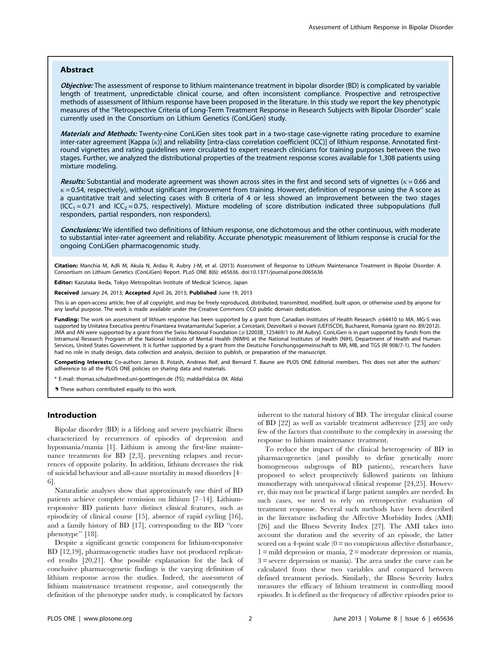# Abstract

Objective: The assessment of response to lithium maintenance treatment in bipolar disorder (BD) is complicated by variable length of treatment, unpredictable clinical course, and often inconsistent compliance. Prospective and retrospective methods of assessment of lithium response have been proposed in the literature. In this study we report the key phenotypic measures of the ''Retrospective Criteria of Long-Term Treatment Response in Research Subjects with Bipolar Disorder'' scale currently used in the Consortium on Lithium Genetics (ConLiGen) study.

Materials and Methods: Twenty-nine ConLiGen sites took part in a two-stage case-vignette rating procedure to examine inter-rater agreement [Kappa (k)] and reliability [intra-class correlation coefficient (ICC)] of lithium response. Annotated firstround vignettes and rating guidelines were circulated to expert research clinicians for training purposes between the two stages. Further, we analyzed the distributional properties of the treatment response scores available for 1,308 patients using mixture modeling.

Results: Substantial and moderate agreement was shown across sites in the first and second sets of vignettes ( $\kappa$  = 0.66 and  $\kappa$  = 0.54, respectively), without significant improvement from training. However, definition of response using the A score as a quantitative trait and selecting cases with B criteria of 4 or less showed an improvement between the two stages  $(ICC<sub>1</sub>=0.71$  and  $ICC<sub>2</sub>=0.75$ , respectively). Mixture modeling of score distribution indicated three subpopulations (full responders, partial responders, non responders).

Conclusions: We identified two definitions of lithium response, one dichotomous and the other continuous, with moderate to substantial inter-rater agreement and reliability. Accurate phenotypic measurement of lithium response is crucial for the ongoing ConLiGen pharmacogenomic study.

Citation: Manchia M, Adli M, Akula N, Ardau R, Aubry J-M, et al. (2013) Assessment of Response to Lithium Maintenance Treatment in Bipolar Disorder: A Consortium on Lithium Genetics (ConLiGen) Report. PLoS ONE 8(6): e65636. doi:10.1371/journal.pone.0065636

Editor: Kazutaka Ikeda, Tokyo Metropolitan Institute of Medical Science, Japan

Received January 24, 2013; Accepted April 26, 2013; Published June 19, 2013

This is an open-access article, free of all copyright, and may be freely reproduced, distributed, transmitted, modified, built upon, or otherwise used by anyone for any lawful purpose. The work is made available under the Creative Commons CC0 public domain dedication.

Funding: The work on assessment of lithium response has been supported by a grant from Canadian Institutes of Health Research #64410 to MA. MG-S was supported by Unitatea Executiva pentru Finantarea Invatamantului Superior, a Cercetarii, Dezvoltarii si Inovarii (UEFISCDI), Bucharest, Romania (grant no. 89/2012). JMA and AN were supported by a grant from the Swiss National Foundation (#32003B\_125469/1 to JM Aubry). ConLiGen is in part supported by funds from the Intramural Research Program of the National Institute of Mental Health (NIMH) at the National Institutes of Health (NIH), Department of Health and Human Services, United States Government. It is further supported by a grant from the Deutsche Forschungsgemeinschaft to MR, MB, and TGS (RI 908/7-1). The funders had no role in study design, data collection and analysis, decision to publish, or preparation of the manuscript.

Competing Interests: Co-authors James B. Potash, Andreas Reif, and Bernard T. Baune are PLOS ONE Editorial members. This does not alter the authors' adherence to all the PLOS ONE policies on sharing data and materials.

E-mail: thomas.schulze@med.uni-goettingen.de (TS); malda@dal.ca (M. Alda)

. These authors contributed equally to this work.

# Introduction

Bipolar disorder (BD) is a lifelong and severe psychiatric illness characterized by recurrences of episodes of depression and hypomania/mania [1]. Lithium is among the first-line maintenance treatments for BD [2,3], preventing relapses and recurrences of opposite polarity. In addition, lithium decreases the risk of suicidal behaviour and all-cause mortality in mood disorders [4– 6].

Naturalistic analyses show that approximately one third of BD patients achieve complete remission on lithium [7–14]. Lithiumresponsive BD patients have distinct clinical features, such as episodicity of clinical course [15], absence of rapid cycling [16], and a family history of BD [17], corresponding to the BD ''core phenotype'' [18].

Despite a significant genetic component for lithium-responsive BD [12,19], pharmacogenetic studies have not produced replicated results [20,21]. One possible explanation for the lack of conclusive pharmacogenetic findings is the varying definition of lithium response across the studies. Indeed, the assessment of lithium maintenance treatment response, and consequently the definition of the phenotype under study, is complicated by factors

inherent to the natural history of BD. The irregular clinical course of BD [22] as well as variable treatment adherence [23] are only few of the factors that contribute to the complexity in assessing the response to lithium maintenance treatment.

To reduce the impact of the clinical heterogeneity of BD in pharmacogenetics (and possibly to define genetically more homogeneous subgroups of BD patients), researchers have proposed to select prospectively followed patients on lithium monotherapy with unequivocal clinical response [24,25]. However, this may not be practical if large patient samples are needed. In such cases, we need to rely on retrospective evaluation of treatment response. Several such methods have been described in the literature including the Affective Morbidity Index (AMI) [26] and the Illness Severity Index [27]. The AMI takes into account the duration and the severity of an episode, the latter scored on a 4-point scale  $(0 = no$  conspicuous affective disturbance, 1 = mild depression or mania, 2 = moderate depression or mania, 3 = severe depression or mania). The area under the curve can be calculated from these two variables and compared between defined treatment periods. Similarly, the Illness Severity Index measures the efficacy of lithium treatment in controlling mood episodes. It is defined as the frequency of affective episodes prior to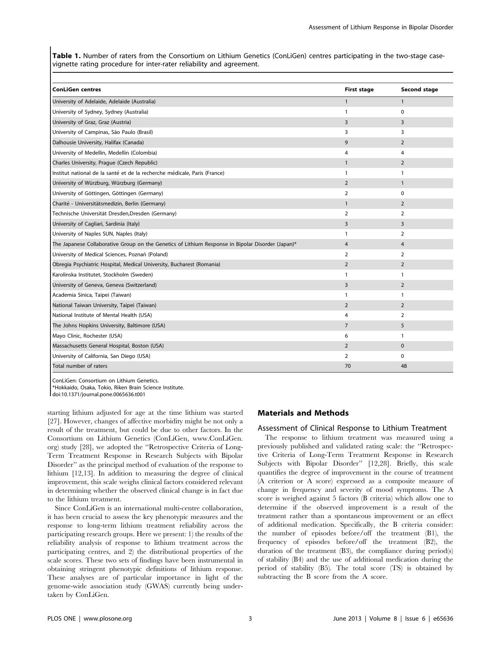Table 1. Number of raters from the Consortium on Lithium Genetics (ConLiGen) centres participating in the two-stage casevignette rating procedure for inter-rater reliability and agreement.

| <b>ConLiGen centres</b>                                                                           | <b>First stage</b> | Second stage   |
|---------------------------------------------------------------------------------------------------|--------------------|----------------|
| University of Adelaide, Adelaide (Australia)                                                      | $\mathbf{1}$       | $\mathbf{1}$   |
| University of Sydney, Sydney (Australia)                                                          | $\mathbf{1}$       | 0              |
| University of Graz, Graz (Austria)                                                                | 3                  | 3              |
| University of Campinas, São Paulo (Brasil)                                                        | 3                  | 3              |
| Dalhousie University, Halifax (Canada)                                                            | 9                  | $\overline{2}$ |
| University of Medellin, Medellin (Colombia)                                                       | 4                  | 4              |
| Charles University, Prague (Czech Republic)                                                       | $\mathbf{1}$       | $\overline{2}$ |
| Institut national de la santé et de la recherche médicale, Paris (France)                         | $\mathbf{1}$       | $\mathbf{1}$   |
| University of Würzburg, Würzburg (Germany)                                                        | $\overline{2}$     | $\mathbf{1}$   |
| University of Göttingen, Göttingen (Germany)                                                      | $\overline{2}$     | $\Omega$       |
| Charité - Universitätsmedizin, Berlin (Germany)                                                   | $\mathbf{1}$       | $\overline{2}$ |
| Technische Universität Dresden, Dresden (Germany)                                                 | 2                  | 2              |
| University of Cagliari, Sardinia (Italy)                                                          | $\overline{3}$     | 3              |
| University of Naples SUN, Naples (Italy)                                                          | $\mathbf{1}$       | $\overline{2}$ |
| The Japanese Collaborative Group on the Genetics of Lithium Response in Bipolar Disorder (Japan)* | $\overline{4}$     | 4              |
| University of Medical Sciences, Poznań (Poland)                                                   | $\overline{2}$     | $\overline{2}$ |
| Obregia Psychiatric Hospital, Medical University, Bucharest (Romania)                             | $\overline{2}$     | $\overline{2}$ |
| Karolinska Institutet, Stockholm (Sweden)                                                         | 1                  | 1              |
| University of Geneva, Geneva (Switzerland)                                                        | 3                  | $\overline{2}$ |
| Academia Sinica, Taipei (Taiwan)                                                                  | 1                  | $\mathbf{1}$   |
| National Taiwan University, Taipei (Taiwan)                                                       | $\overline{2}$     | $\overline{2}$ |
| National Institute of Mental Health (USA)                                                         | 4                  | $\overline{2}$ |
| The Johns Hopkins University, Baltimore (USA)                                                     | $\overline{7}$     | 5              |
| Mayo Clinic, Rochester (USA)                                                                      | 6                  | 1              |
| Massachusetts General Hospital, Boston (USA)                                                      | $\overline{2}$     | $\mathbf{0}$   |
| University of California, San Diego (USA)                                                         | 2                  | $\Omega$       |
| Total number of raters                                                                            | 70                 | 48             |

ConLiGen: Consortium on Lithium Genetics.

\*Hokkaido, Osaka, Tokio, Riken Brain Science Institute.

doi:10.1371/journal.pone.0065636.t001

starting lithium adjusted for age at the time lithium was started [27]. However, changes of affective morbidity might be not only a result of the treatment, but could be due to other factors. In the Consortium on Lithium Genetics (ConLiGen, www.ConLiGen. org) study [28], we adopted the ''Retrospective Criteria of Long-Term Treatment Response in Research Subjects with Bipolar Disorder'' as the principal method of evaluation of the response to lithium [12,13]. In addition to measuring the degree of clinical improvement, this scale weighs clinical factors considered relevant in determining whether the observed clinical change is in fact due to the lithium treatment.

Since ConLiGen is an international multi-centre collaboration, it has been crucial to assess the key phenotypic measures and the response to long-term lithium treatment reliability across the participating research groups. Here we present: 1) the results of the reliability analysis of response to lithium treatment across the participating centres, and 2) the distributional properties of the scale scores. These two sets of findings have been instrumental in obtaining stringent phenotypic definitions of lithium response. These analyses are of particular importance in light of the genome-wide association study (GWAS) currently being undertaken by ConLiGen.

#### Materials and Methods

## Assessment of Clinical Response to Lithium Treatment

The response to lithium treatment was measured using a previously published and validated rating scale: the ''Retrospective Criteria of Long-Term Treatment Response in Research Subjects with Bipolar Disorder'' [12,28]. Briefly, this scale quantifies the degree of improvement in the course of treatment (A criterion or A score) expressed as a composite measure of change in frequency and severity of mood symptoms. The A score is weighed against 5 factors (B criteria) which allow one to determine if the observed improvement is a result of the treatment rather than a spontaneous improvement or an effect of additional medication. Specifically, the B criteria consider: the number of episodes before/off the treatment (B1), the frequency of episodes before/off the treatment (B2), the duration of the treatment (B3), the compliance during period(s) of stability (B4) and the use of additional medication during the period of stability (B5). The total score (TS) is obtained by subtracting the B score from the A score.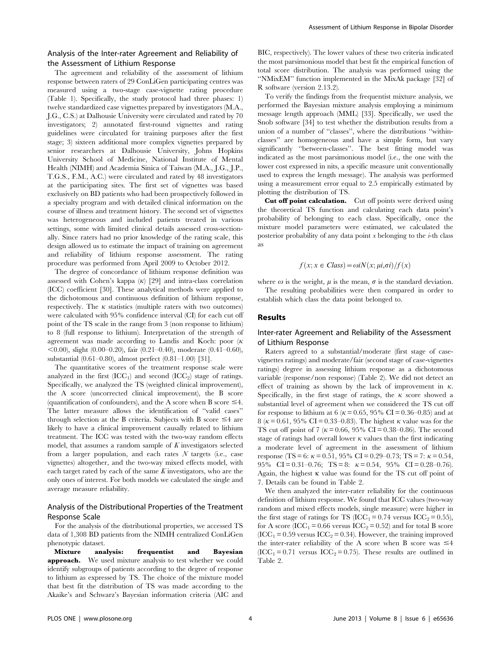# Analysis of the Inter-rater Agreement and Reliability of the Assessment of Lithium Response

The agreement and reliability of the assessment of lithium response between raters of 29 ConLiGen participating centres was measured using a two-stage case-vignette rating procedure (Table 1). Specifically, the study protocol had three phases: 1) twelve standardized case vignettes prepared by investigators (M.A., J.G., C.S.) at Dalhousie University were circulated and rated by 70 investigators; 2) annotated first-round vignettes and rating guidelines were circulated for training purposes after the first stage; 3) sixteen additional more complex vignettes prepared by senior researchers at Dalhousie University, Johns Hopkins University School of Medicine, National Institute of Mental Health (NIMH) and Academia Sinica of Taiwan (M.A., J.G., J.P., T.G.S., F.M., A.C.) were circulated and rated by 48 investigators at the participating sites. The first set of vignettes was based exclusively on BD patients who had been prospectively followed in a specialty program and with detailed clinical information on the course of illness and treatment history. The second set of vignettes was heterogeneous and included patients treated in various settings, some with limited clinical details assessed cross-sectionally. Since raters had no prior knowledge of the rating scale, this design allowed us to estimate the impact of training on agreement and reliability of lithium response assessment. The rating procedure was performed from April 2009 to October 2012.

The degree of concordance of lithium response definition was assessed with Cohen's kappa  $(\kappa)$  [29] and intra-class correlation (ICC) coefficient [30]. These analytical methods were applied to the dichotomous and continuous definition of lithium response, respectively. The  $\kappa$  statistics (multiple raters with two outcomes) were calculated with 95% confidence interval (CI) for each cut off point of the TS scale in the range from 3 (non response to lithium) to 8 (full response to lithium). Interpretation of the strength of agreement was made according to Landis and Koch: poor  $(\kappa$  $(0.00)$ , slight  $(0.00-0.20)$ , fair  $(0.21-0.40)$ , moderate  $(0.41-0.60)$ , substantial (0.61–0.80), almost perfect (0.81–1.00) [31].

The quantitative scores of the treatment response scale were analyzed in the first  $(ICC<sub>1</sub>)$  and second  $(ICC<sub>2</sub>)$  stage of ratings. Specifically, we analyzed the TS (weighted clinical improvement), the A score (uncorrected clinical improvement), the B score (quantification of confounders), and the A score when B score  $\leq 4$ . The latter measure allows the identification of ''valid cases'' through selection at the B criteria. Subjects with B score  $\leq$ 4 are likely to have a clinical improvement causally related to lithium treatment. The ICC was tested with the two-way random effects model, that assumes a random sample of  $K$  investigators selected from a larger population, and each rates  $N$  targets (i.e., case vignettes) altogether, and the two-way mixed effects model, with each target rated by each of the same  $K$  investigators, who are the only ones of interest. For both models we calculated the single and average measure reliability.

# Analysis of the Distributional Properties of the Treatment Response Scale

For the analysis of the distributional properties, we accessed TS data of 1,308 BD patients from the NIMH centralized ConLiGen phenotypic dataset.

Mixture analysis: frequentist and Bayesian approach. We used mixture analysis to test whether we could identify subgroups of patients according to the degree of response to lithium as expressed by TS. The choice of the mixture model that best fit the distribution of TS was made according to the Akaike's and Schwarz's Bayesian information criteria (AIC and BIC, respectively). The lower values of these two criteria indicated the most parsimonious model that best fit the empirical function of total score distribution. The analysis was performed using the ''NMixEM'' function implemented in the MixAk package [32] of R software (version 2.13.2).

To verify the findings from the frequentist mixture analysis, we performed the Bayesian mixture analysis employing a minimum message length approach (MML) [33]. Specifically, we used the Snob software [34] to test whether the distribution results from a union of a number of ''classes'', where the distributions ''withinclasses'' are homogeneous and have a simple form, but vary significantly ''between-classes''. The best fitting model was indicated as the most parsimonious model (i.e., the one with the lower cost expressed in nits, a specific measure unit conventionally used to express the length message). The analysis was performed using a measurement error equal to 2.5 empirically estimated by plotting the distribution of TS.

Cut off point calculation. Cut off points were derived using the theoretical TS function and calculating each data point's probability of belonging to each class. Specifically, once the mixture model parameters were estimated, we calculated the posterior probability of any data point  $x$  belonging to the  $i$ -th class as

$$
f(x; x \in Class) = \omega i N(x; \mu i, \sigma i) / f(x)
$$

where  $\omega$  is the weight,  $\mu$  is the mean,  $\sigma$  is the standard deviation. The resulting probabilities were then compared in order to

establish which class the data point belonged to.

# Results

# Inter-rater Agreement and Reliability of the Assessment of Lithium Response

Raters agreed to a substantial/moderate (first stage of casevignettes ratings) and moderate/fair (second stage of case-vignettes ratings) degree in assessing lithium response as a dichotomous variable (response/non response) (Table 2). We did not detect an effect of training as shown by the lack of improvement in  $\kappa$ . Specifically, in the first stage of ratings, the  $\kappa$  score showed a substantial level of agreement when we considered the TS cut off for response to lithium at 6 ( $\kappa$  = 0.65, 95% CI = 0.36–0.85) and at 8 ( $\kappa$  = 0.61, 95% CI = 0.33–0.83). The highest  $\kappa$  value was for the TS cut off point of 7 ( $\kappa$  = 0.66, 95% CI = 0.38–0.86). The second stage of ratings had overall lower  $\kappa$  values than the first indicating a moderate level of agreement in the assessment of lithium response (TS = 6:  $\kappa$  = 0.51, 95% CI = 0.29–0.73; TS = 7:  $\kappa$  = 0.54, 95% CI = 0.31–0.76; TS = 8:  $\kappa$  = 0.54, 95% CI = 0.28–0.76). Again, the highest  $\kappa$  value was found for the TS cut off point of 7. Details can be found in Table 2.

We then analyzed the inter-rater reliability for the continuous definition of lithium response. We found that ICC values (two-way random and mixed effects models, single measure) were higher in the first stage of ratings for TS (ICC<sub>1</sub> = 0.74 versus ICC<sub>2</sub> = 0.55), for A score (ICC<sub>1</sub> = 0.66 versus ICC<sub>2</sub> = 0.52) and for total B score  $(ICC_1 = 0.59$  versus  $ICC_2 = 0.34)$ . However, the training improved the inter-rater reliability of the A score when B score was  $\leq 4$  $(ICC_1 = 0.71$  versus  $ICC_2 = 0.75)$ . These results are outlined in Table 2.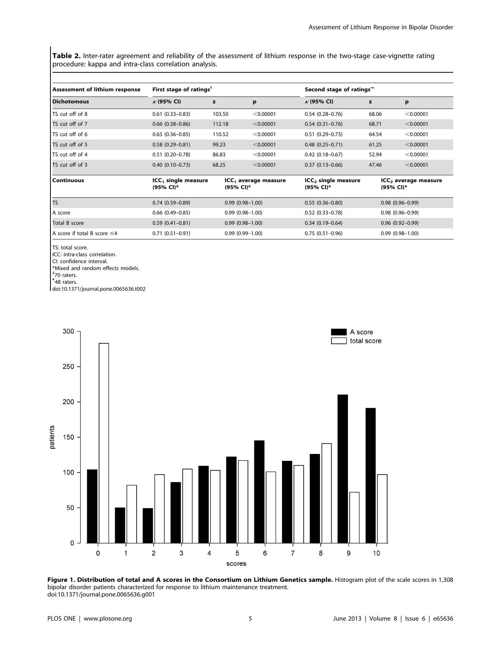Table 2. Inter-rater agreement and reliability of the assessment of lithium response in the two-stage case-vignette rating procedure: kappa and intra-class correlation analysis.

| <b>Assessment of lithium response</b> | First stage of ratings <sup>§</sup>          |                                               |           | Second stage of ratings            |                                               |           |  |
|---------------------------------------|----------------------------------------------|-----------------------------------------------|-----------|------------------------------------|-----------------------------------------------|-----------|--|
| <b>Dichotomous</b>                    | $\kappa$ (95% CI)                            | z                                             | p         | $\kappa$ (95% CI)                  | z                                             | p         |  |
| TS cut off of 8                       | $0.61(0.33 - 0.83)$                          | 103.50                                        | < 0.00001 | $0.54(0.28 - 0.76)$                | 68.06                                         | < 0.00001 |  |
| TS cut off of 7                       | $0.66$ $(0.38 - 0.86)$                       | 112.18                                        | < 0.00001 | $0.54(0.31 - 0.76)$                | 68.71                                         | < 0.00001 |  |
| TS cut off of 6                       | $0.65(0.36 - 0.85)$                          | 110.52                                        | < 0.00001 | $0.51(0.29 - 0.73)$                | 64.54                                         | < 0.00001 |  |
| TS cut off of 5                       | $0.58(0.29 - 0.81)$                          | 99.23                                         | < 0.00001 | $0.48$ $(0.25 - 0.71)$             | 61.25                                         | < 0.00001 |  |
| TS cut off of 4                       | $0.51(0.20 - 0.78)$                          | 86.83                                         | < 0.00001 | $0.42$ (0.18-0.67)                 | 52.94                                         | < 0.00001 |  |
| TS cut off of 3                       | $0.40(0.10-0.73)$                            | 68.25                                         | < 0.00001 | $0.37(0.13 - 0.66)$                | 47.46                                         | < 0.00001 |  |
| l Continuous                          | ICC <sub>1</sub> single measure<br>(95% CI)* | ICC <sub>1</sub> average measure<br>(95% CI)* |           | $ICC2$ single measure<br>(95% CI)* | ICC <sub>2</sub> average measure<br>(95% CI)* |           |  |
| Ts                                    | $0.74(0.59 - 0.89)$                          | $0.99(0.98 - 1.00)$                           |           | $0.55(0.36 - 0.80)$                | $0.98(0.96 - 0.99)$                           |           |  |
| A score                               | $0.66$ $(0.49 - 0.85)$                       | $0.99(0.98 - 1.00)$                           |           | $0.52$ (0.33-0.78)                 | $0.98(0.96 - 0.99)$                           |           |  |
| Total B score                         | $0.59(0.41 - 0.81)$                          | $0.99(0.98 - 1.00)$                           |           | $0.34(0.19 - 0.64)$                | $0.96(0.92 - 0.99)$                           |           |  |
| A score if total B score $\leq 4$     | $0.71(0.51 - 0.91)$                          | $0.99(0.99 - 1.00)$                           |           | $0.75(0.51-0.96)$                  | $0.99(0.98 - 1.00)$                           |           |  |

TS: total score.

ICC: intra-class correlation.

CI: confidence interval.

\*Mixed and random effects models.

<sup>§</sup>70 raters.

" 48 raters.

doi:10.1371/journal.pone.0065636.t002



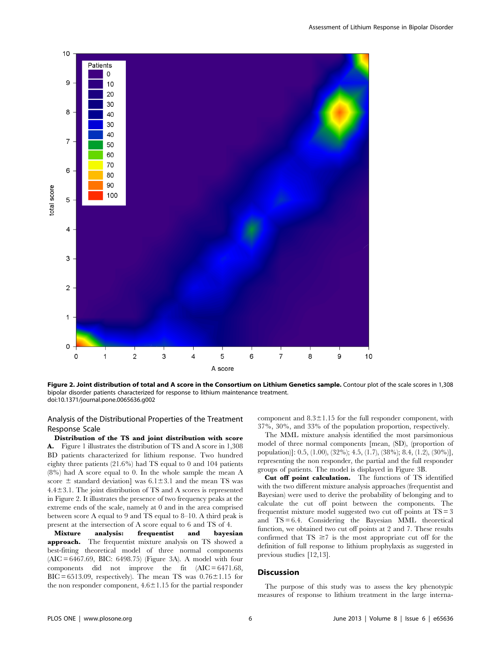

Figure 2. Joint distribution of total and A score in the Consortium on Lithium Genetics sample. Contour plot of the scale scores in 1,308 bipolar disorder patients characterized for response to lithium maintenance treatment. doi:10.1371/journal.pone.0065636.g002

Analysis of the Distributional Properties of the Treatment Response Scale

Distribution of the TS and joint distribution with score A. Figure 1 illustrates the distribution of TS and A score in 1,308 BD patients characterized for lithium response. Two hundred eighty three patients (21.6%) had TS equal to 0 and 104 patients (8%) had A score equal to 0. In the whole sample the mean A score  $\pm$  standard deviation] was 6.1 $\pm$ 3.1 and the mean TS was  $4.4\pm3.1$ . The joint distribution of TS and A scores is represented in Figure 2. It illustrates the presence of two frequency peaks at the extreme ends of the scale, namely at 0 and in the area comprised between score A equal to 9 and TS equal to 8–10. A third peak is present at the intersection of A score equal to 6 and TS of 4.

Mixture analysis: frequentist and bayesian approach. The frequentist mixture analysis on TS showed a best-fitting theoretical model of three normal components (AIC = 6467.69, BIC: 6498.75) (Figure 3A). A model with four components did not improve the fit  $(AIC = 6471.68,$  $BIC = 6513.09$ , respectively). The mean TS was  $0.76 \pm 1.15$  for the non responder component,  $4.6 \pm 1.15$  for the partial responder component and  $8.3 \pm 1.15$  for the full responder component, with 37%, 30%, and 33% of the population proportion, respectively.

The MML mixture analysis identified the most parsimonious model of three normal components [mean, (SD), (proportion of population)]: 0.5, (1.00), (32%); 4.5, (1.7), (38%); 8.4, (1.2), (30%)], representing the non responder, the partial and the full responder groups of patients. The model is displayed in Figure 3B.

Cut off point calculation. The functions of TS identified with the two different mixture analysis approaches (frequentist and Bayesian) were used to derive the probability of belonging and to calculate the cut off point between the components. The frequentist mixture model suggested two cut off points at  $TS = 3$ and TS = 6.4. Considering the Bayesian MML theoretical function, we obtained two cut off points at 2 and 7. These results confirmed that  $TS \ge 7$  is the most appropriate cut off for the definition of full response to lithium prophylaxis as suggested in previous studies [12,13].

## **Discussion**

The purpose of this study was to assess the key phenotypic measures of response to lithium treatment in the large interna-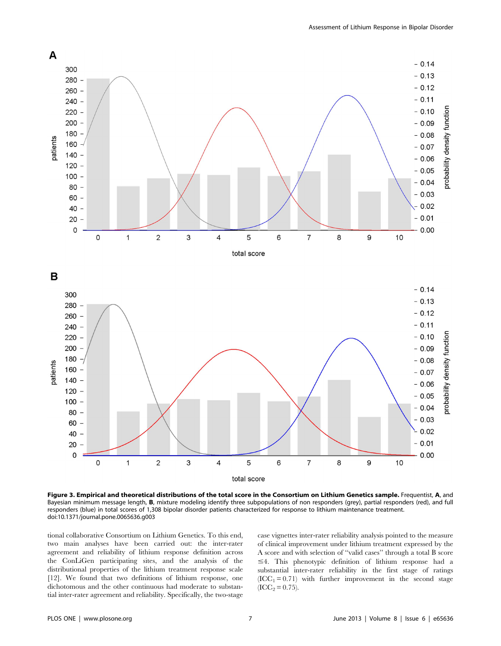

Figure 3. Empirical and theoretical distributions of the total score in the Consortium on Lithium Genetics sample. Frequentist, A, and Bayesian minimum message length, B, mixture modeling identify three subpopulations of non responders (grey), partial responders (red), and full responders (blue) in total scores of 1,308 bipolar disorder patients characterized for response to lithium maintenance treatment. doi:10.1371/journal.pone.0065636.g003

tional collaborative Consortium on Lithium Genetics. To this end, two main analyses have been carried out: the inter-rater agreement and reliability of lithium response definition across the ConLiGen participating sites, and the analysis of the distributional properties of the lithium treatment response scale [12]. We found that two definitions of lithium response, one dichotomous and the other continuous had moderate to substantial inter-rater agreement and reliability. Specifically, the two-stage

case vignettes inter-rater reliability analysis pointed to the measure of clinical improvement under lithium treatment expressed by the A score and with selection of ''valid cases'' through a total B score  $\leq$ 4. This phenotypic definition of lithium response had a substantial inter-rater reliability in the first stage of ratings  $(ICC_1 = 0.71)$  with further improvement in the second stage  $(ICC<sub>2</sub> = 0.75).$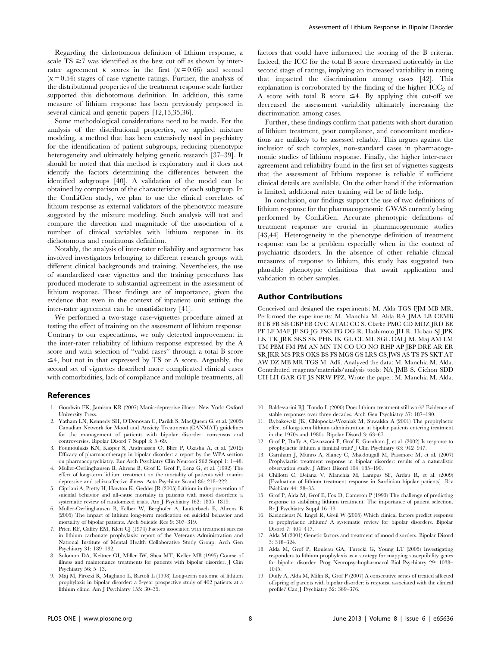Regarding the dichotomous definition of lithium response, a scale  $TS \ge 7$  was identified as the best cut off as shown by interrater agreement  $\kappa$  scores in the first ( $\kappa$  = 0.66) and second  $(k = 0.54)$  stages of case vignette ratings. Further, the analysis of the distributional properties of the treatment response scale further supported this dichotomous definition. In addition, this same measure of lithium response has been previously proposed in several clinical and genetic papers [12,13,35,36].

Some methodological considerations need to be made. For the analysis of the distributional properties, we applied mixture modeling, a method that has been extensively used in psychiatry for the identification of patient subgroups, reducing phenotypic heterogeneity and ultimately helping genetic research [37–39]. It should be noted that this method is exploratory and it does not identify the factors determining the differences between the identified subgroups [40]. A validation of the model can be obtained by comparison of the characteristics of each subgroup. In the ConLiGen study, we plan to use the clinical correlates of lithium response as external validators of the phenotypic measure suggested by the mixture modeling. Such analysis will test and compare the direction and magnitude of the association of a number of clinical variables with lithium response in its dichotomous and continuous definition.

Notably, the analysis of inter-rater reliability and agreement has involved investigators belonging to different research groups with different clinical backgrounds and training. Nevertheless, the use of standardized case vignettes and the training procedures has produced moderate to substantial agreement in the assessment of lithium response. These findings are of importance, given the evidence that even in the context of inpatient unit settings the inter-rater agreement can be unsatisfactory [41].

We performed a two-stage case-vignettes procedure aimed at testing the effect of training on the assessment of lithium response. Contrary to our expectations, we only detected improvement in the inter-rater reliability of lithium response expressed by the A score and with selection of ''valid cases'' through a total B score  $\leq$ 4, but not in that expressed by TS or A score. Arguably, the second set of vignettes described more complicated clinical cases with comorbidities, lack of compliance and multiple treatments, all

#### References

- 1. Goodwin FK, Jamison KR (2007) Manic-depressive illness. New York: Oxford University Press.
- 2. Yatham LN, Kennedy SH, O'Donovan C, Parikh S, MacQueen G, et al. (2005) Canadian Network for Mood and Anxiety Treatments (CANMAT) guidelines for the management of patients with bipolar disorder: consensus and controversies. Bipolar Disord 7 Suppl 3: 5–69.
- 3. Fountoulakis KN, Kasper S, Andreassen O, Blier P, Okasha A, et al. (2012) Efficacy of pharmacotherapy in bipolar disorder: a report by the WPA section on pharmacopsychiatry. Eur Arch Psychiatry Clin Neurosci 262 Suppl 1: 1–48.
- 4. Muller-Oerlinghausen B, Ahrens B, Grof E, Grof P, Lenz G, et al. (1992) The effect of long-term lithium treatment on the mortality of patients with manicdepressive and schizoaffective illness. Acta Psychiatr Scand 86: 218–222.
- 5. Cipriani A, Pretty H, Hawton K, Geddes JR (2005) Lithium in the prevention of suicidal behavior and all-cause mortality in patients with mood disorders: a systematic review of randomized trials. Am J Psychiatry 162: 1805–1819.
- 6. Muller-Oerlinghausen B, Felber W, Berghofer A, Lauterbach E, Ahrens B (2005) The impact of lithium long-term medication on suicidal behavior and mortality of bipolar patients. Arch Suicide Res 9: 307–319.
- 7. Prien RF, Caffey EM, Klett CJ (1974) Factors associated with treatment success in lithium carbonate prophylaxis: report of the Veterans Administration and National Institute of Mental Health Collaborative Study Group. Arch Gen Psychiatry 31: 189–192.
- 8. Solomon DA, Keitner GI, Miller IW, Shea MT, Keller MB (1995) Course of illness and maintenance treatments for patients with bipolar disorder. J Clin Psychiatry 56: 5–13.
- 9. Maj M, Pirozzi R, Magliano L, Bartoli L (1998) Long-term outcome of lithium prophylaxis in bipolar disorder: a 5-year prospective study of 402 patients at a lithium clinic. Am J Psychiatry 155: 30–35.

factors that could have influenced the scoring of the B criteria. Indeed, the ICC for the total B score decreased noticeably in the second stage of ratings, implying an increased variability in rating that impacted the discrimination among cases [42]. This explanation is corroborated by the finding of the higher  $\text{ICC}_2$  of A score with total B score  $\leq 4$ . By applying this cut-off we decreased the assessment variability ultimately increasing the discrimination among cases.

Further, these findings confirm that patients with short duration of lithium treatment, poor compliance, and concomitant medications are unlikely to be assessed reliably. This argues against the inclusion of such complex, non-standard cases in pharmacogenomic studies of lithium response. Finally, the higher inter-rater agreement and reliability found in the first set of vignettes suggests that the assessment of lithium response is reliable if sufficient clinical details are available. On the other hand if the information is limited, additional rater training will be of little help.

In conclusion, our findings support the use of two definitions of lithium response for the pharmacogenomic GWAS currently being performed by ConLiGen. Accurate phenotypic definitions of treatment response are crucial in pharmacogenomic studies [43,44]. Heterogeneity in the phenotype definition of treatment response can be a problem especially when in the context of psychiatric disorders. In the absence of other reliable clinical measures of response to lithium, this study has suggested two plausible phenotypic definitions that await application and validation in other samples.

#### Author Contributions

Conceived and designed the experiments: M. Alda TGS FJM MB MR. Performed the experiments: M. Manchia M. Alda RA JMA LB CEMB BTB FB SB CBP EB CVC ATAC CC S. Clarke PMC CD MDZ JRD BE PF LF MAF JF SG JG FSG PG OG R. Hashimoto JH R. Hoban SJ JPK LK TK JRK SKS SK PHK IK GL CL ML SGL CALJ M. Maj AM LM TM PBM FM PM AN MN TN CO UO NO RHP AP JBP DRE AR ER SR JKR MS PRS OKS BS FS MGS GS LRS CS JWS AS TS PS SKT AT AW DZ MB MR TGS M. Adli. Analyzed the data: M. Manchia M. Alda. Contributed reagents/materials/analysis tools: NA JMB S. Cichon SDD UH LH GAR GT JS NRW PPZ. Wrote the paper: M. Manchia M. Alda.

- 10. Baldessarini RJ, Tondo L (2000) Does lithium treatment still work? Evidence of stable responses over three decades. Arch Gen Psychiatry 57: 187–190.
- 11. Rybakowski JK, Chlopocka-Wozniak M, Suwalska A (2001) The prophylactic effect of long-term lithium administration in bipolar patients entering treatment in the 1970s and 1980s. Bipolar Disord 3: 63–67.
- 12. Grof P, Duffy A, Cavazzoni P, Grof E, Garnham J, et al. (2002) Is response to prophylactic lithium a familial trait? J Clin Psychiatry 63: 942–947.
- 13. Garnham J, Munro A, Slaney C, Macdougall M, Passmore M, et al. (2007) Prophylactic treatment response in bipolar disorder: results of a naturalistic observation study. J Affect Disord 104: 185–190.
- 14. Chillotti C, Deiana V, Manchia M, Lampus SF, Ardau R, et al. (2009) [Evaluation of lithium treatment response in Sardinian bipolar patients]. Riv Psichiatr 44: 28–35.
- 15. Grof P, Alda M, Grof E, Fox D, Cameron P (1993) The challenge of predicting response to stabilising lithium treatment. The importance of patient selection. Br J Psychiatry Suppl 16–19.
- 16. Kleindienst N, Engel R, Greil W (2005) Which clinical factors predict response to prophylactic lithium? A systematic review for bipolar disorders. Bipolar Disord 7: 404–417.
- 17. Alda M (2001) Genetic factors and treatment of mood disorders. Bipolar Disord 3: 318–324.
- 18. Alda M, Grof P, Rouleau GA, Turecki G, Young LT (2005) Investigating responders to lithium prophylaxis as a strategy for mapping susceptibility genes for bipolar disorder. Prog Neuropsychopharmacol Biol Psychiatry 29: 1038– 1045.
- 19. Duffy A, Alda M, Milin R, Grof P (2007) A consecutive series of treated affected offspring of parents with bipolar disorder: is response associated with the clinical profile? Can J Psychiatry 52: 369–376.